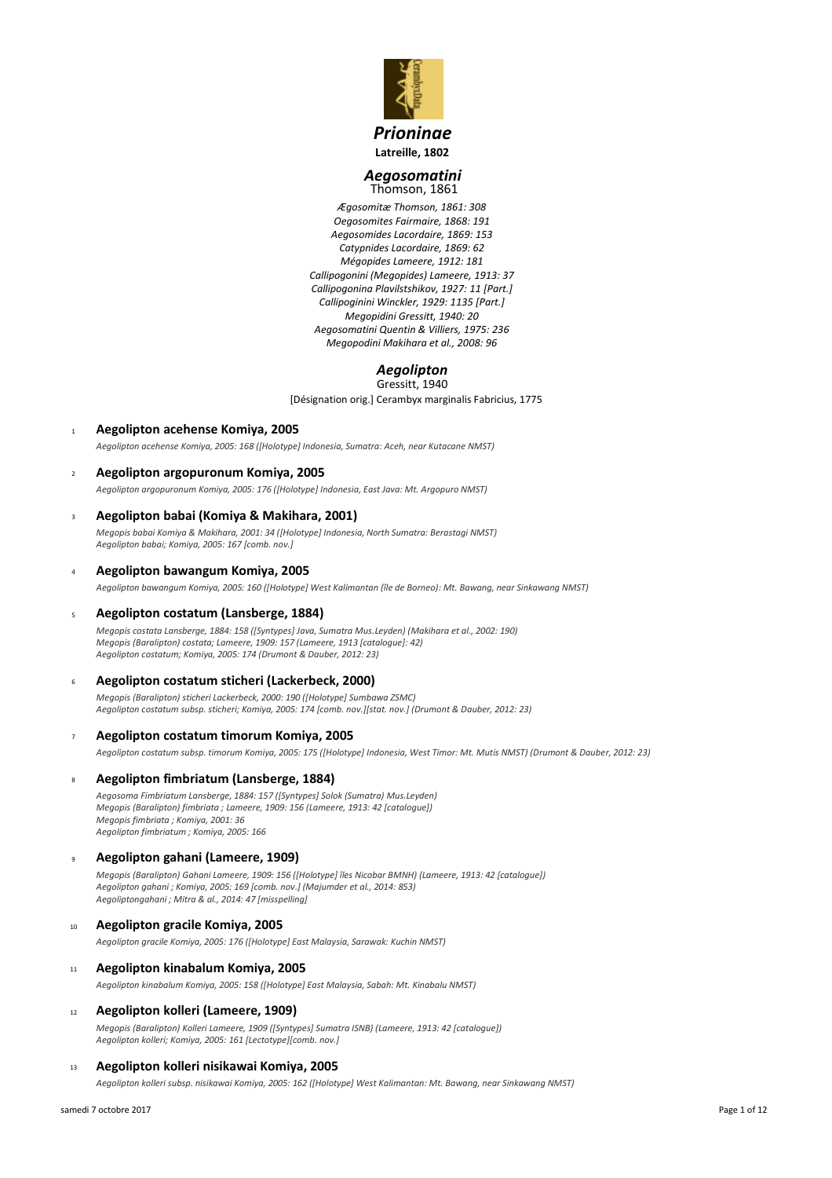

## *Prioninae* **Latreille, 1802**

### *Aegosomatini* Thomson, 1861

*Ægosomitæ Thomson, 1861: 308 Oegosomites Fairmaire, 1868: 191 Aegosomides Lacordaire, 1869: 153 Catypnides Lacordaire, 1869: 62 Mégopides Lameere, 1912: 181 Callipogonini (Megopides) Lameere, 1913: 37 Callipogonina Plavilstshikov, 1927: 11 [Part.] Callipoginini Winckler, 1929: 1135 [Part.] Megopidini Gressitt, 1940: 20 Aegosomatini Quentin & Villiers, 1975: 236 Megopodini Makihara et al., 2008: 96*

### *Aegolipton* Gressitt, 1940

[Désignation orig.] Cerambyx marginalis Fabricius, 1775

- <sup>1</sup> **Aegolipton acehense Komiya, 2005** *Aegolipton acehense Komiya, 2005: 168 ([Holotype] Indonesia, Sumatra: Aceh, near Kutacane NMST)*
- <sup>2</sup> **Aegolipton argopuronum Komiya, 2005** *Aegolipton argopuronum Komiya, 2005: 176 ([Holotype] Indonesia, East Java: Mt. Argopuro NMST)*

### <sup>3</sup> **Aegolipton babai (Komiya & Makihara, 2001)**

*Megopis babai Komiya & Makihara, 2001: 34 ([Holotype] Indonesia, North Sumatra: Berastagi NMST) Aegolipton babai; Komiya, 2005: 167 [comb. nov.]*

### <sup>4</sup> **Aegolipton bawangum Komiya, 2005**

*Aegolipton bawangum Komiya, 2005: 160 ([Holotype] West Kalimantan (île de Borneo): Mt. Bawang, near Sinkawang NMST)*

### <sup>5</sup> **Aegolipton costatum (Lansberge, 1884)**

*Megopis costata Lansberge, 1884: 158 ([Syntypes] Java, Sumatra Mus.Leyden) (Makihara et al., 2002: 190) Megopis (Baralipton) costata; Lameere, 1909: 157 (Lameere, 1913 [catalogue]: 42) Aegolipton costatum; Komiya, 2005: 174 (Drumont & Dauber, 2012: 23)*

### <sup>6</sup> **Aegolipton costatum sticheri (Lackerbeck, 2000)**

*Megopis (Baralipton) sticheri Lackerbeck, 2000: 190 ([Holotype] Sumbawa ZSMC) Aegolipton costatum subsp. sticheri; Komiya, 2005: 174 [comb. nov.][stat. nov.] (Drumont & Dauber, 2012: 23)*

### <sup>7</sup> **Aegolipton costatum timorum Komiya, 2005**

*Aegolipton costatum subsp. timorum Komiya, 2005: 175 ([Holotype] Indonesia, West Timor: Mt. Mutis NMST) (Drumont & Dauber, 2012: 23)*

### <sup>8</sup> **Aegolipton fimbriatum (Lansberge, 1884)**

*Aegosoma Fimbriatum Lansberge, 1884: 157 ([Syntypes] Solok (Sumatra) Mus.Leyden) Megopis (Baralipton) fimbriata ; Lameere, 1909: 156 (Lameere, 1913: 42 [catalogue]) Megopis fimbriata ; Komiya, 2001: 36 Aegolipton fimbriatum ; Komiya, 2005: 166*

### <sup>9</sup> **Aegolipton gahani (Lameere, 1909)**

*Megopis (Baralipton) Gahani Lameere, 1909: 156 ([Holotype] îles Nicobar BMNH) (Lameere, 1913: 42 [catalogue]) Aegolipton gahani ; Komiya, 2005: 169 [comb. nov.] (Majumder et al., 2014: 853) Aegoliptongahani ; Mitra & al., 2014: 47 [misspelling]*

### <sup>10</sup> **Aegolipton gracile Komiya, 2005**

*Aegolipton gracile Komiya, 2005: 176 ([Holotype] East Malaysia, Sarawak: Kuchin NMST)*

### <sup>11</sup> **Aegolipton kinabalum Komiya, 2005**

*Aegolipton kinabalum Komiya, 2005: 158 ([Holotype] East Malaysia, Sabah: Mt. Kinabalu NMST)*

### <sup>12</sup> **Aegolipton kolleri (Lameere, 1909)**

*Megopis (Baralipton) Kolleri Lameere, 1909 ([Syntypes] Sumatra ISNB) (Lameere, 1913: 42 [catalogue]) Aegolipton kolleri; Komiya, 2005: 161 [Lectotype][comb. nov.]*

### <sup>13</sup> **Aegolipton kolleri nisikawai Komiya, 2005**

*Aegolipton kolleri subsp. nisikawai Komiya, 2005: 162 ([Holotype] West Kalimantan: Mt. Bawang, near Sinkawang NMST)*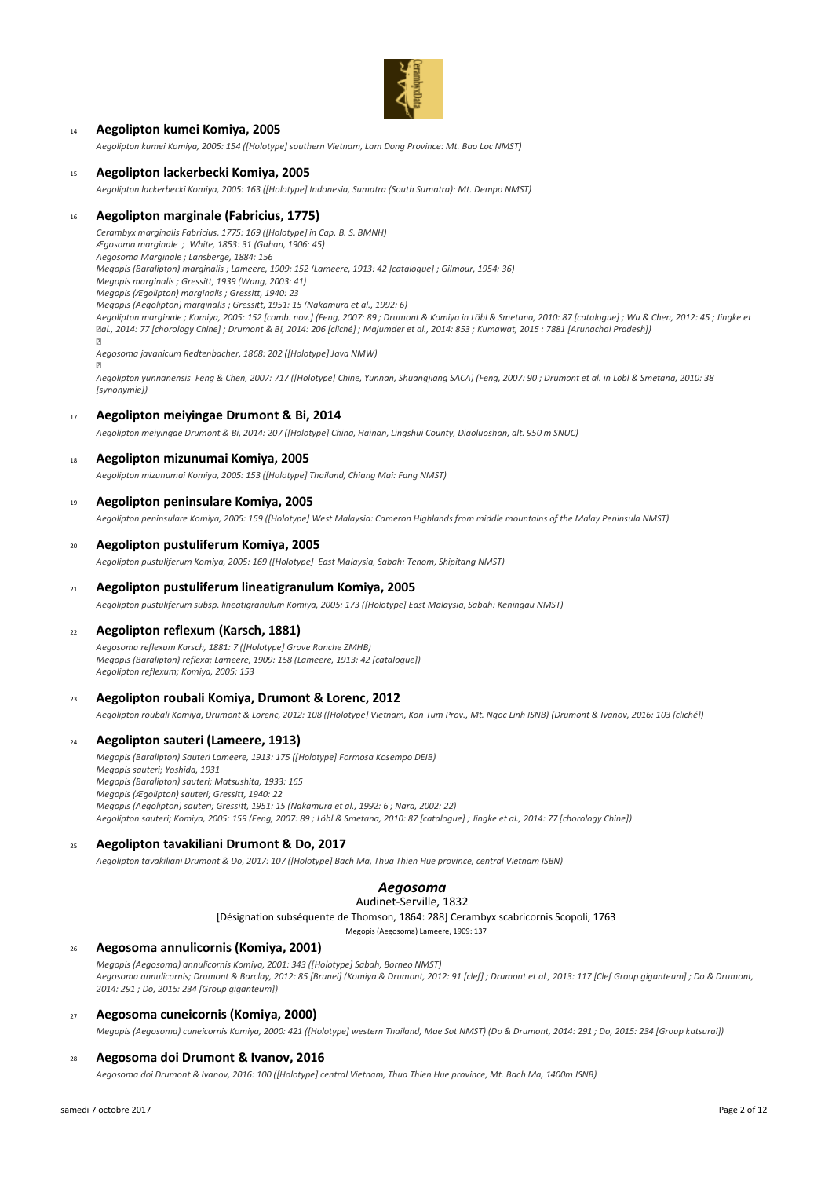

### <sup>14</sup> **Aegolipton kumei Komiya, 2005**

*Aegolipton kumei Komiya, 2005: 154 ([Holotype] southern Vietnam, Lam Dong Province: Mt. Bao Loc NMST)*

#### <sup>15</sup> **Aegolipton lackerbecki Komiya, 2005**

*Aegolipton lackerbecki Komiya, 2005: 163 ([Holotype] Indonesia, Sumatra (South Sumatra): Mt. Dempo NMST)*

### <sup>16</sup> **Aegolipton marginale (Fabricius, 1775)**

*Cerambyx marginalis Fabricius, 1775: 169 ([Holotype] in Cap. B. S. BMNH) Ægosoma marginale ; White, 1853: 31 (Gahan, 1906: 45) Aegosoma Marginale ; Lansberge, 1884: 156 Megopis (Baralipton) marginalis ; Lameere, 1909: 152 (Lameere, 1913: 42 [catalogue] ; Gilmour, 1954: 36) Megopis marginalis ; Gressitt, 1939 (Wang, 2003: 41) Megopis (Ægolipton) marginalis ; Gressitt, 1940: 23 Megopis (Aegolipton) marginalis ; Gressitt, 1951: 15 (Nakamura et al., 1992: 6) Aegolipton marginale ; Komiya, 2005: 152 [comb. nov.] (Feng, 2007: 89 ; Drumont & Komiya in Löbl & Smetana, 2010: 87 [catalogue] ; Wu & Chen, 2012: 45 ; Jingke et al., 2014: 77 [chorology Chine] ; Drumont & Bi, 2014: 206 [cliché] ; Majumder et al., 2014: 853 ; Kumawat, 2015 : 7881 [Arunachal Pradesh]) Aegosoma javanicum Redtenbacher, 1868: 202 ([Holotype] Java NMW)*

*Aegolipton yunnanensis Feng & Chen, 2007: 717 ([Holotype] Chine, Yunnan, Shuangjiang SACA) (Feng, 2007: 90 ; Drumont et al. in Löbl & Smetana, 2010: 38 [synonymie])*

#### <sup>17</sup> **Aegolipton meiyingae Drumont & Bi, 2014**

*Aegolipton meiyingae Drumont & Bi, 2014: 207 ([Holotype] China, Hainan, Lingshui County, Diaoluoshan, alt. 950 m SNUC)*

#### <sup>18</sup> **Aegolipton mizunumai Komiya, 2005**

*Aegolipton mizunumai Komiya, 2005: 153 ([Holotype] Thailand, Chiang Mai: Fang NMST)*

#### <sup>19</sup> **Aegolipton peninsulare Komiya, 2005**

*Aegolipton peninsulare Komiya, 2005: 159 ([Holotype] West Malaysia: Cameron Highlands from middle mountains of the Malay Peninsula NMST)*

#### <sup>20</sup> **Aegolipton pustuliferum Komiya, 2005**

*Aegolipton pustuliferum Komiya, 2005: 169 ([Holotype] East Malaysia, Sabah: Tenom, Shipitang NMST)*

### <sup>21</sup> **Aegolipton pustuliferum lineatigranulum Komiya, 2005**

*Aegolipton pustuliferum subsp. lineatigranulum Komiya, 2005: 173 ([Holotype] East Malaysia, Sabah: Keningau NMST)*

#### <sup>22</sup> **Aegolipton reflexum (Karsch, 1881)**

*Aegosoma reflexum Karsch, 1881: 7 ([Holotype] Grove Ranche ZMHB) Megopis (Baralipton) reflexa; Lameere, 1909: 158 (Lameere, 1913: 42 [catalogue]) Aegolipton reflexum; Komiya, 2005: 153*

#### <sup>23</sup> **Aegolipton roubali Komiya, Drumont & Lorenc, 2012**

*Aegolipton roubali Komiya, Drumont & Lorenc, 2012: 108 ([Holotype] Vietnam, Kon Tum Prov., Mt. Ngoc Linh ISNB) (Drumont & Ivanov, 2016: 103 [cliché])*

#### <sup>24</sup> **Aegolipton sauteri (Lameere, 1913)**

*Megopis (Baralipton) Sauteri Lameere, 1913: 175 ([Holotype] Formosa Kosempo DEIB) Megopis sauteri; Yoshida, 1931 Megopis (Baralipton) sauteri; Matsushita, 1933: 165 Megopis (Ægolipton) sauteri; Gressitt, 1940: 22 Megopis (Aegolipton) sauteri; Gressitt, 1951: 15 (Nakamura et al., 1992: 6 ; Nara, 2002: 22) Aegolipton sauteri; Komiya, 2005: 159 (Feng, 2007: 89 ; Löbl & Smetana, 2010: 87 [catalogue] ; Jingke et al., 2014: 77 [chorology Chine])*

#### <sup>25</sup> **Aegolipton tavakiliani Drumont & Do, 2017**

*Aegolipton tavakiliani Drumont & Do, 2017: 107 ([Holotype] Bach Ma, Thua Thien Hue province, central Vietnam ISBN)*

## *Aegosoma*

### Audinet-Serville, 1832

[Désignation subséquente de Thomson, 1864: 288] Cerambyx scabricornis Scopoli, 1763

Megopis (Aegosoma) Lameere, 1909: 137

### <sup>26</sup> **Aegosoma annulicornis (Komiya, 2001)**

*Megopis (Aegosoma) annulicornis Komiya, 2001: 343 ([Holotype] Sabah, Borneo NMST) Aegosoma annulicornis; Drumont & Barclay, 2012: 85 [Brunei] (Komiya & Drumont, 2012: 91 [clef] ; Drumont et al., 2013: 117 [Clef Group giganteum] ; Do & Drumont, 2014: 291 ; Do, 2015: 234 [Group giganteum])*

#### <sup>27</sup> **Aegosoma cuneicornis (Komiya, 2000)**

*Megopis (Aegosoma) cuneicornis Komiya, 2000: 421 ([Holotype] western Thailand, Mae Sot NMST) (Do & Drumont, 2014: 291 ; Do, 2015: 234 [Group katsurai])*

#### <sup>28</sup> **Aegosoma doi Drumont & Ivanov, 2016**

*Aegosoma doi Drumont & Ivanov, 2016: 100 ([Holotype] central Vietnam, Thua Thien Hue province, Mt. Bach Ma, 1400m ISNB)*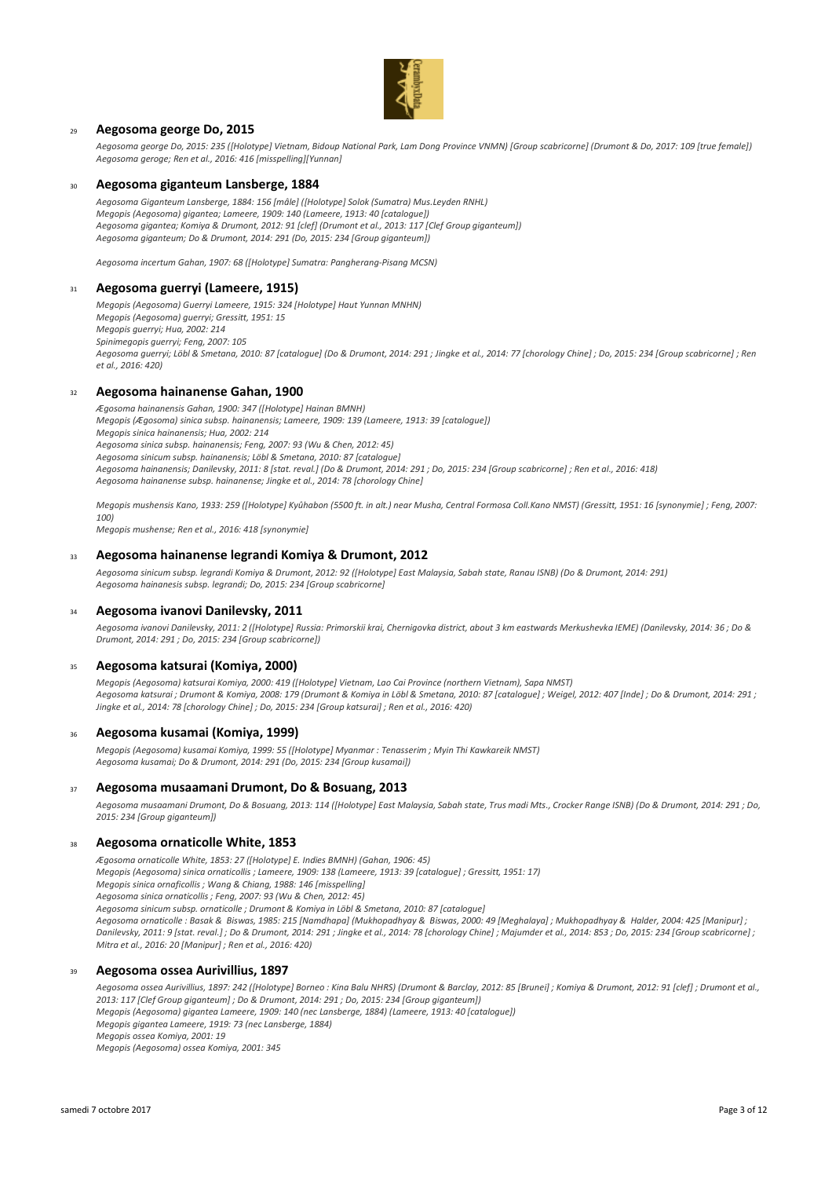

### <sup>29</sup> **Aegosoma george Do, 2015**

*Aegosoma george Do, 2015: 235 ([Holotype] Vietnam, Bidoup National Park, Lam Dong Province VNMN) [Group scabricorne] (Drumont & Do, 2017: 109 [true female]) Aegosoma geroge; Ren et al., 2016: 416 [misspelling][Yunnan]*

### <sup>30</sup> **Aegosoma giganteum Lansberge, 1884**

*Aegosoma Giganteum Lansberge, 1884: 156 [mâle] ([Holotype] Solok (Sumatra) Mus.Leyden RNHL) Megopis (Aegosoma) gigantea; Lameere, 1909: 140 (Lameere, 1913: 40 [catalogue]) Aegosoma gigantea; Komiya & Drumont, 2012: 91 [clef] (Drumont et al., 2013: 117 [Clef Group giganteum]) Aegosoma giganteum; Do & Drumont, 2014: 291 (Do, 2015: 234 [Group giganteum])*

*Aegosoma incertum Gahan, 1907: 68 ([Holotype] Sumatra: Pangherang-Pisang MCSN)*

#### <sup>31</sup> **Aegosoma guerryi (Lameere, 1915)**

*Megopis (Aegosoma) Guerryi Lameere, 1915: 324 [Holotype] Haut Yunnan MNHN) Megopis (Aegosoma) guerryi; Gressitt, 1951: 15 Megopis guerryi; Hua, 2002: 214 Spinimegopis guerryi; Feng, 2007: 105 Aegosoma guerryi; Löbl & Smetana, 2010: 87 [catalogue] (Do & Drumont, 2014: 291 ; Jingke et al., 2014: 77 [chorology Chine] ; Do, 2015: 234 [Group scabricorne] ; Ren et al., 2016: 420)*

### <sup>32</sup> **Aegosoma hainanense Gahan, 1900**

*Ægosoma hainanensis Gahan, 1900: 347 ([Holotype] Hainan BMNH) Megopis (Ægosoma) sinica subsp. hainanensis; Lameere, 1909: 139 (Lameere, 1913: 39 [catalogue]) Megopis sinica hainanensis; Hua, 2002: 214 Aegosoma sinica subsp. hainanensis; Feng, 2007: 93 (Wu & Chen, 2012: 45) Aegosoma sinicum subsp. hainanensis; Löbl & Smetana, 2010: 87 [catalogue] Aegosoma hainanensis; Danilevsky, 2011: 8 [stat. reval.] (Do & Drumont, 2014: 291 ; Do, 2015: 234 [Group scabricorne] ; Ren et al., 2016: 418) Aegosoma hainanense subsp. hainanense; Jingke et al., 2014: 78 [chorology Chine]*

*Megopis mushensis Kano, 1933: 259 ([Holotype] Kyûhabon (5500 ft. in alt.) near Musha, Central Formosa Coll.Kano NMST) (Gressitt, 1951: 16 [synonymie] ; Feng, 2007: 100)*

*Megopis mushense; Ren et al., 2016: 418 [synonymie]*

#### <sup>33</sup> **Aegosoma hainanense legrandi Komiya & Drumont, 2012**

*Aegosoma sinicum subsp. legrandi Komiya & Drumont, 2012: 92 ([Holotype] East Malaysia, Sabah state, Ranau ISNB) (Do & Drumont, 2014: 291) Aegosoma hainanesis subsp. legrandi; Do, 2015: 234 [Group scabricorne]*

#### <sup>34</sup> **Aegosoma ivanovi Danilevsky, 2011**

*Aegosoma ivanovi Danilevsky, 2011: 2 ([Holotype] Russia: Primorskii krai, Chernigovka district, about 3 km eastwards Merkushevka IEME) (Danilevsky, 2014: 36 ; Do & Drumont, 2014: 291 ; Do, 2015: 234 [Group scabricorne])*

### <sup>35</sup> **Aegosoma katsurai (Komiya, 2000)**

*Megopis (Aegosoma) katsurai Komiya, 2000: 419 ([Holotype] Vietnam, Lao Cai Province (northern Vietnam), Sapa NMST) Aegosoma katsurai ; Drumont & Komiya, 2008: 179 (Drumont & Komiya in Löbl & Smetana, 2010: 87 [catalogue] ; Weigel, 2012: 407 [Inde] ; Do & Drumont, 2014: 291 ; Jingke et al., 2014: 78 [chorology Chine] ; Do, 2015: 234 [Group katsurai] ; Ren et al., 2016: 420)*

#### <sup>36</sup> **Aegosoma kusamai (Komiya, 1999)**

*Megopis (Aegosoma) kusamai Komiya, 1999: 55 ([Holotype] Myanmar : Tenasserim ; Myin Thi Kawkareik NMST) Aegosoma kusamai; Do & Drumont, 2014: 291 (Do, 2015: 234 [Group kusamai])*

#### <sup>37</sup> **Aegosoma musaamani Drumont, Do & Bosuang, 2013**

*Aegosoma musaamani Drumont, Do & Bosuang, 2013: 114 ([Holotype] East Malaysia, Sabah state, Trus madi Mts., Crocker Range ISNB) (Do & Drumont, 2014: 291 ; Do, 2015: 234 [Group giganteum])*

### <sup>38</sup> **Aegosoma ornaticolle White, 1853**

*Ægosoma ornaticolle White, 1853: 27 ([Holotype] E. Indies BMNH) (Gahan, 1906: 45)*

*Megopis (Aegosoma) sinica ornaticollis ; Lameere, 1909: 138 (Lameere, 1913: 39 [catalogue] ; Gressitt, 1951: 17)*

*Megopis sinica ornaficollis ; Wang & Chiang, 1988: 146 [misspelling]*

*Aegosoma sinica ornaticollis ; Feng, 2007: 93 (Wu & Chen, 2012: 45)*

*Aegosoma sinicum subsp. ornaticolle ; Drumont & Komiya in Löbl & Smetana, 2010: 87 [catalogue]*

*Aegosoma ornaticolle : Basak & Biswas, 1985: 215 [Namdhapa] (Mukhopadhyay & Biswas, 2000: 49 [Meghalaya] ; Mukhopadhyay & Halder, 2004: 425 [Manipur] ; Danilevsky, 2011: 9 [stat. reval.] ; Do & Drumont, 2014: 291 ; Jingke et al., 2014: 78 [chorology Chine] ; Majumder et al., 2014: 853 ; Do, 2015: 234 [Group scabricorne] ; Mitra et al., 2016: 20 [Manipur] ; Ren et al., 2016: 420)*

### <sup>39</sup> **Aegosoma ossea Aurivillius, 1897**

*Aegosoma ossea Aurivillius, 1897: 242 ([Holotype] Borneo : Kina Balu NHRS) (Drumont & Barclay, 2012: 85 [Brunei] ; Komiya & Drumont, 2012: 91 [clef] ; Drumont et al., 2013: 117 [Clef Group giganteum] ; Do & Drumont, 2014: 291 ; Do, 2015: 234 [Group giganteum])*

*Megopis (Aegosoma) gigantea Lameere, 1909: 140 (nec Lansberge, 1884) (Lameere, 1913: 40 [catalogue])*

*Megopis gigantea Lameere, 1919: 73 (nec Lansberge, 1884)*

*Megopis ossea Komiya, 2001: 19*

*Megopis (Aegosoma) ossea Komiya, 2001: 345*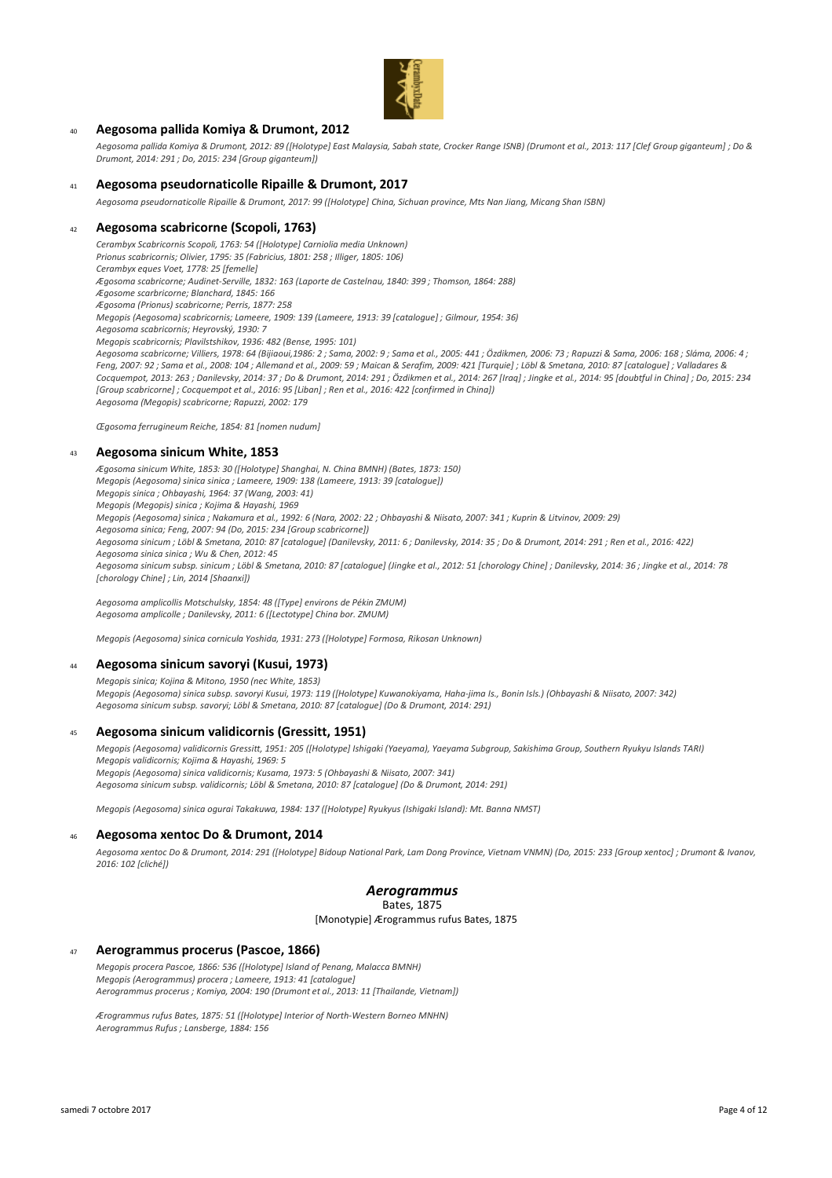

### <sup>40</sup> **Aegosoma pallida Komiya & Drumont, 2012**

*Aegosoma pallida Komiya & Drumont, 2012: 89 ([Holotype] East Malaysia, Sabah state, Crocker Range ISNB) (Drumont et al., 2013: 117 [Clef Group giganteum] ; Do & Drumont, 2014: 291 ; Do, 2015: 234 [Group giganteum])*

### <sup>41</sup> **Aegosoma pseudornaticolle Ripaille & Drumont, 2017**

*Aegosoma pseudornaticolle Ripaille & Drumont, 2017: 99 ([Holotype] China, Sichuan province, Mts Nan Jiang, Micang Shan ISBN)*

### <sup>42</sup> **Aegosoma scabricorne (Scopoli, 1763)**

*Cerambyx Scabricornis Scopoli, 1763: 54 ([Holotype] Carniolia media Unknown)*

*Prionus scabricornis; Olivier, 1795: 35 (Fabricius, 1801: 258 ; Illiger, 1805: 106)*

*Cerambyx eques Voet, 1778: 25 [femelle]*

*Ægosoma scabricorne; Audinet-Serville, 1832: 163 (Laporte de Castelnau, 1840: 399 ; Thomson, 1864: 288)*

*Ægosome scarbricorne; Blanchard, 1845: 166*

*Ægosoma (Prionus) scabricorne; Perris, 1877: 258 Megopis (Aegosoma) scabricornis; Lameere, 1909: 139 (Lameere, 1913: 39 [catalogue] ; Gilmour, 1954: 36)*

*Aegosoma scabricornis; Heyrovský, 1930: 7*

*Megopis scabricornis; Plavilstshikov, 1936: 482 (Bense, 1995: 101)*

*Aegosoma scabricorne; Villiers, 1978: 64 (Bijiaoui,1986: 2 ; Sama, 2002: 9 ; Sama et al., 2005: 441 ; Özdikmen, 2006: 73 ; Rapuzzi & Sama, 2006: 168 ; Sláma, 2006: 4 ; Feng, 2007: 92 ; Sama et al., 2008: 104 ; Allemand et al., 2009: 59 ; Maican & Serafim, 2009: 421 [Turquie] ; Löbl & Smetana, 2010: 87 [catalogue] ; Valladares & Cocquempot, 2013: 263 ; Danilevsky, 2014: 37 ; Do & Drumont, 2014: 291 ; Özdikmen et al., 2014: 267 [Iraq] ; Jingke et al., 2014: 95 [doubtful in China] ; Do, 2015: 234 [Group scabricorne] ; Cocquempot et al., 2016: 95 [Liban] ; Ren et al., 2016: 422 [confirmed in China]) Aegosoma (Megopis) scabricorne; Rapuzzi, 2002: 179*

*Œgosoma ferrugineum Reiche, 1854: 81 [nomen nudum]*

### <sup>43</sup> **Aegosoma sinicum White, 1853**

*Ægosoma sinicum White, 1853: 30 ([Holotype] Shanghai, N. China BMNH) (Bates, 1873: 150) Megopis (Aegosoma) sinica sinica ; Lameere, 1909: 138 (Lameere, 1913: 39 [catalogue]) Megopis sinica ; Ohbayashi, 1964: 37 (Wang, 2003: 41) Megopis (Megopis) sinica ; Kojima & Hayashi, 1969 Megopis (Aegosoma) sinica ; Nakamura et al., 1992: 6 (Nara, 2002: 22 ; Ohbayashi & Niisato, 2007: 341 ; Kuprin & Litvinov, 2009: 29) Aegosoma sinica; Feng, 2007: 94 (Do, 2015: 234 [Group scabricorne]) Aegosoma sinicum ; Löbl & Smetana, 2010: 87 [catalogue] (Danilevsky, 2011: 6 ; Danilevsky, 2014: 35 ; Do & Drumont, 2014: 291 ; Ren et al., 2016: 422) Aegosoma sinica sinica ; Wu & Chen, 2012: 45 Aegosoma sinicum subsp. sinicum ; Löbl & Smetana, 2010: 87 [catalogue] (Jingke et al., 2012: 51 [chorology Chine] ; Danilevsky, 2014: 36 ; Jingke et al., 2014: 78 [chorology Chine] ; Lin, 2014 [Shaanxi])*

*Aegosoma amplicollis Motschulsky, 1854: 48 ([Type] environs de Pékin ZMUM) Aegosoma amplicolle ; Danilevsky, 2011: 6 ([Lectotype] China bor. ZMUM)*

*Megopis (Aegosoma) sinica cornicula Yoshida, 1931: 273 ([Holotype] Formosa, Rikosan Unknown)*

#### <sup>44</sup> **Aegosoma sinicum savoryi (Kusui, 1973)**

*Megopis sinica; Kojina & Mitono, 1950 (nec White, 1853) Megopis (Aegosoma) sinica subsp. savoryi Kusui, 1973: 119 ([Holotype] Kuwanokiyama, Haha-jima Is., Bonin Isls.) (Ohbayashi & Niisato, 2007: 342) Aegosoma sinicum subsp. savoryi; Löbl & Smetana, 2010: 87 [catalogue] (Do & Drumont, 2014: 291)*

#### <sup>45</sup> **Aegosoma sinicum validicornis (Gressitt, 1951)**

*Megopis (Aegosoma) validicornis Gressitt, 1951: 205 ([Holotype] Ishigaki (Yaeyama), Yaeyama Subgroup, Sakishima Group, Southern Ryukyu Islands TARI) Megopis validicornis; Kojima & Hayashi, 1969: 5 Megopis (Aegosoma) sinica validicornis; Kusama, 1973: 5 (Ohbayashi & Niisato, 2007: 341) Aegosoma sinicum subsp. validicornis; Löbl & Smetana, 2010: 87 [catalogue] (Do & Drumont, 2014: 291)*

*Megopis (Aegosoma) sinica ogurai Takakuwa, 1984: 137 ([Holotype] Ryukyus (Ishigaki Island): Mt. Banna NMST)*

#### <sup>46</sup> **Aegosoma xentoc Do & Drumont, 2014**

*Aegosoma xentoc Do & Drumont, 2014: 291 ([Holotype] Bidoup National Park, Lam Dong Province, Vietnam VNMN) (Do, 2015: 233 [Group xentoc] ; Drumont & Ivanov, 2016: 102 [cliché])*

## *Aerogrammus*

Bates, 1875

[Monotypie] Ærogrammus rufus Bates, 1875

#### <sup>47</sup> **Aerogrammus procerus (Pascoe, 1866)**

*Megopis procera Pascoe, 1866: 536 ([Holotype] Island of Penang, Malacca BMNH) Megopis (Aerogrammus) procera ; Lameere, 1913: 41 [catalogue] Aerogrammus procerus ; Komiya, 2004: 190 (Drumont et al., 2013: 11 [Thailande, Vietnam])*

*Ærogrammus rufus Bates, 1875: 51 ([Holotype] Interior of North-Western Borneo MNHN) Aerogrammus Rufus ; Lansberge, 1884: 156*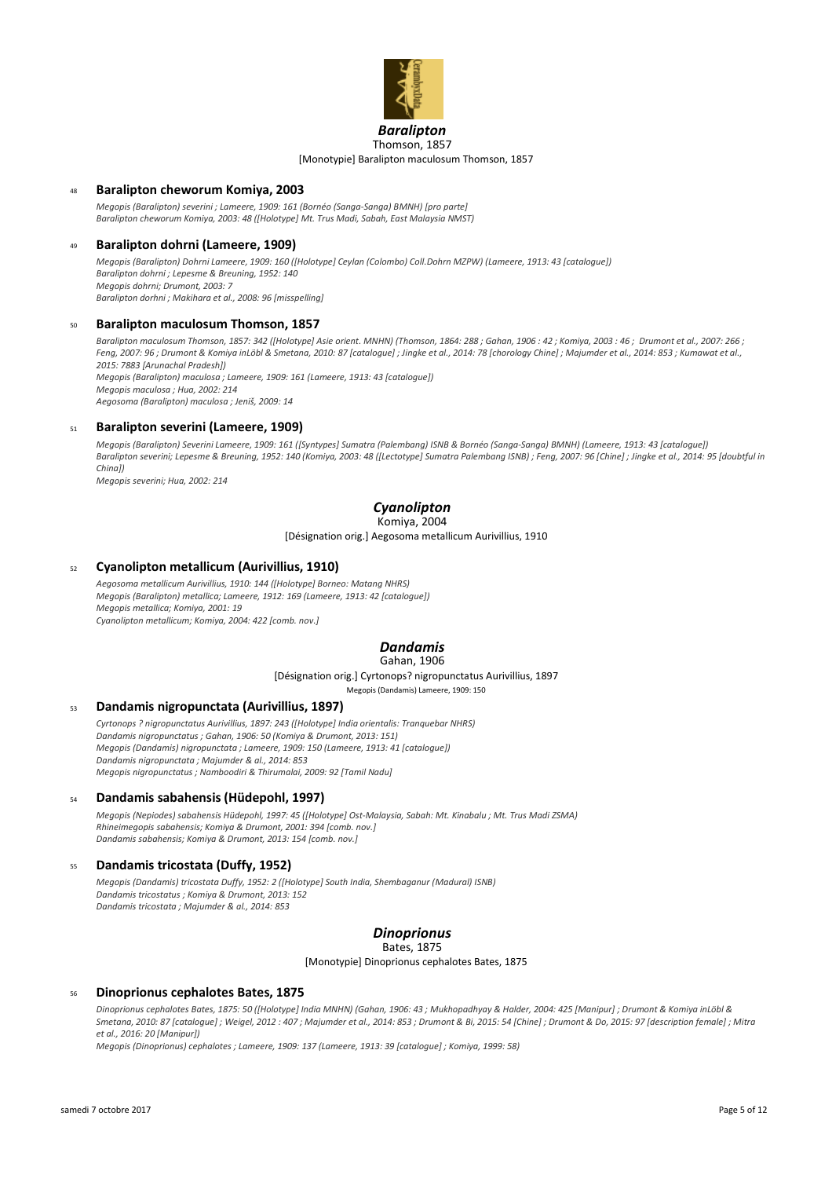

### *Baralipton* [Monotypie] Baralipton maculosum Thomson, 1857 Thomson, 1857

### <sup>48</sup> **Baralipton cheworum Komiya, 2003**

*Megopis (Baralipton) severini ; Lameere, 1909: 161 (Bornéo (Sanga-Sanga) BMNH) [pro parte] Baralipton cheworum Komiya, 2003: 48 ([Holotype] Mt. Trus Madi, Sabah, East Malaysia NMST)*

### <sup>49</sup> **Baralipton dohrni (Lameere, 1909)**

*Megopis (Baralipton) Dohrni Lameere, 1909: 160 ([Holotype] Ceylan (Colombo) Coll.Dohrn MZPW) (Lameere, 1913: 43 [catalogue]) Baralipton dohrni ; Lepesme & Breuning, 1952: 140 Megopis dohrni; Drumont, 2003: 7 Baralipton dorhni ; Makihara et al., 2008: 96 [misspelling]*

#### <sup>50</sup> **Baralipton maculosum Thomson, 1857**

*Baralipton maculosum Thomson, 1857: 342 ([Holotype] Asie orient. MNHN) (Thomson, 1864: 288 ; Gahan, 1906 : 42 ; Komiya, 2003 : 46 ; Drumont et al., 2007: 266 ; Feng, 2007: 96 ; Drumont & Komiya inLöbl & Smetana, 2010: 87 [catalogue] ; Jingke et al., 2014: 78 [chorology Chine] ; Majumder et al., 2014: 853 ; Kumawat et al., 2015: 7883 [Arunachal Pradesh]) Megopis (Baralipton) maculosa ; Lameere, 1909: 161 (Lameere, 1913: 43 [catalogue]) Megopis maculosa ; Hua, 2002: 214*

*Aegosoma (Baralipton) maculosa ; Jeniš, 2009: 14*

#### <sup>51</sup> **Baralipton severini (Lameere, 1909)**

*Megopis (Baralipton) Severini Lameere, 1909: 161 ([Syntypes] Sumatra (Palembang) ISNB & Bornéo (Sanga-Sanga) BMNH) (Lameere, 1913: 43 [catalogue]) Baralipton severini; Lepesme & Breuning, 1952: 140 (Komiya, 2003: 48 ([Lectotype] Sumatra Palembang ISNB) ; Feng, 2007: 96 [Chine] ; Jingke et al., 2014: 95 [doubtful in China])*

*Megopis severini; Hua, 2002: 214*

## *Cyanolipton*

# Komiya, 2004

[Désignation orig.] Aegosoma metallicum Aurivillius, 1910

### <sup>52</sup> **Cyanolipton metallicum (Aurivillius, 1910)**

*Aegosoma metallicum Aurivillius, 1910: 144 ([Holotype] Borneo: Matang NHRS) Megopis (Baralipton) metallica; Lameere, 1912: 169 (Lameere, 1913: 42 [catalogue]) Megopis metallica; Komiya, 2001: 19 Cyanolipton metallicum; Komiya, 2004: 422 [comb. nov.]*

## *Dandamis*

## Gahan, 1906

[Désignation orig.] Cyrtonops? nigropunctatus Aurivillius, 1897

Megopis (Dandamis) Lameere, 1909: 150

### <sup>53</sup> **Dandamis nigropunctata (Aurivillius, 1897)**

*Cyrtonops ? nigropunctatus Aurivillius, 1897: 243 ([Holotype] India orientalis: Tranquebar NHRS) Dandamis nigropunctatus ; Gahan, 1906: 50 (Komiya & Drumont, 2013: 151) Megopis (Dandamis) nigropunctata ; Lameere, 1909: 150 (Lameere, 1913: 41 [catalogue]) Dandamis nigropunctata ; Majumder & al., 2014: 853 Megopis nigropunctatus ; Namboodiri & Thirumalai, 2009: 92 [Tamil Nadu]*

#### <sup>54</sup> **Dandamis sabahensis (Hüdepohl, 1997)**

*Megopis (Nepiodes) sabahensis Hüdepohl, 1997: 45 ([Holotype] Ost-Malaysia, Sabah: Mt. Kinabalu ; Mt. Trus Madi ZSMA) Rhineimegopis sabahensis; Komiya & Drumont, 2001: 394 [comb. nov.] Dandamis sabahensis; Komiya & Drumont, 2013: 154 [comb. nov.]*

### <sup>55</sup> **Dandamis tricostata (Duffy, 1952)**

*Megopis (Dandamis) tricostata Duffy, 1952: 2 ([Holotype] South India, Shembaganur (Madural) ISNB) Dandamis tricostatus ; Komiya & Drumont, 2013: 152 Dandamis tricostata ; Majumder & al., 2014: 853*

## *Dinoprionus*

#### Bates, 1875

[Monotypie] Dinoprionus cephalotes Bates, 1875

### <sup>56</sup> **Dinoprionus cephalotes Bates, 1875**

*Dinoprionus cephalotes Bates, 1875: 50 ([Holotype] India MNHN) (Gahan, 1906: 43 ; Mukhopadhyay & Halder, 2004: 425 [Manipur] ; Drumont & Komiya inLöbl & Smetana, 2010: 87 [catalogue] ; Weigel, 2012 : 407 ; Majumder et al., 2014: 853 ; Drumont & Bi, 2015: 54 [Chine] ; Drumont & Do, 2015: 97 [description female] ; Mitra et al., 2016: 20 [Manipur])*

*Megopis (Dinoprionus) cephalotes ; Lameere, 1909: 137 (Lameere, 1913: 39 [catalogue] ; Komiya, 1999: 58)*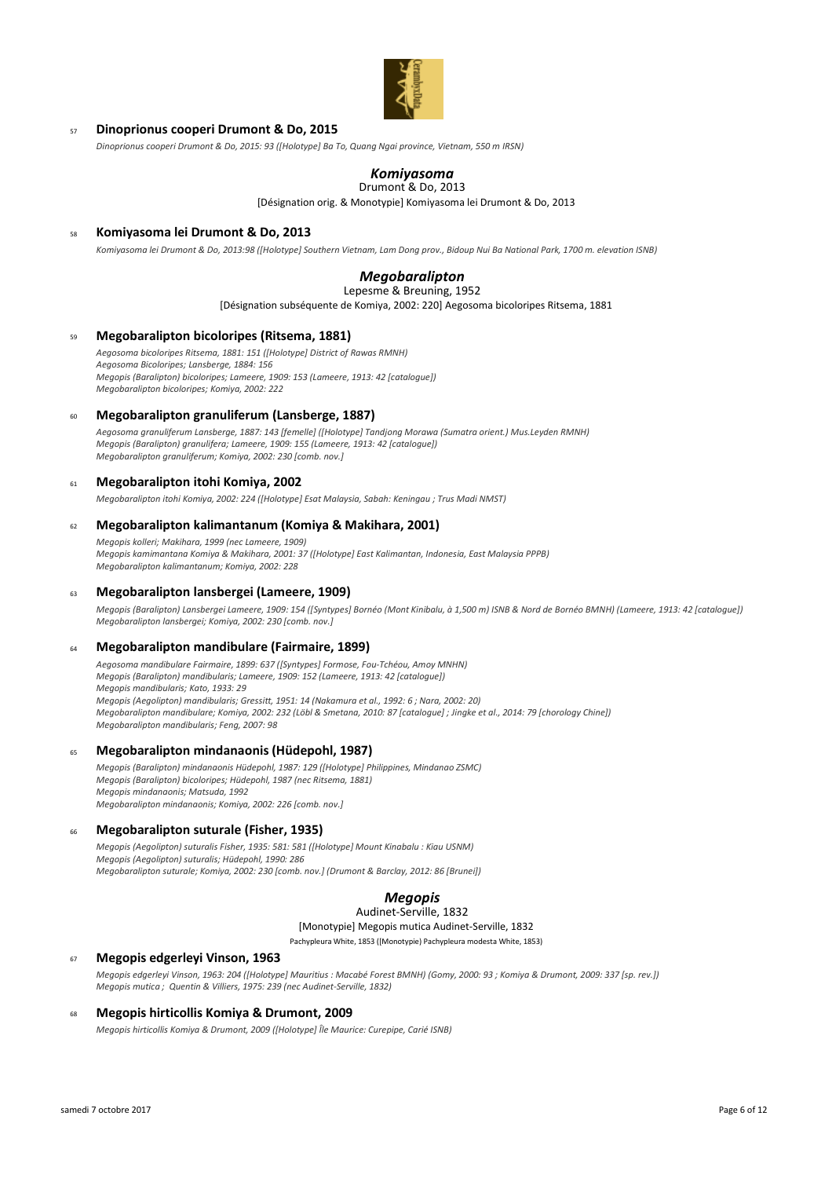

### <sup>57</sup> **Dinoprionus cooperi Drumont & Do, 2015**

*Dinoprionus cooperi Drumont & Do, 2015: 93 ([Holotype] Ba To, Quang Ngai province, Vietnam, 550 m IRSN)*

# *Komiyasoma*

[Désignation orig. & Monotypie] Komiyasoma lei Drumont & Do, 2013 Drumont & Do, 2013

### <sup>58</sup> **Komiyasoma lei Drumont & Do, 2013**

*Komiyasoma lei Drumont & Do, 2013:98 ([Holotype] Southern Vietnam, Lam Dong prov., Bidoup Nui Ba National Park, 1700 m. elevation ISNB)*

# *Megobaralipton*

Lepesme & Breuning, 1952

[Désignation subséquente de Komiya, 2002: 220] Aegosoma bicoloripes Ritsema, 1881

### <sup>59</sup> **Megobaralipton bicoloripes (Ritsema, 1881)**

*Aegosoma bicoloripes Ritsema, 1881: 151 ([Holotype] District of Rawas RMNH) Aegosoma Bicoloripes; Lansberge, 1884: 156 Megopis (Baralipton) bicoloripes; Lameere, 1909: 153 (Lameere, 1913: 42 [catalogue]) Megobaralipton bicoloripes; Komiya, 2002: 222*

#### <sup>60</sup> **Megobaralipton granuliferum (Lansberge, 1887)**

*Aegosoma granuliferum Lansberge, 1887: 143 [femelle] ([Holotype] Tandjong Morawa (Sumatra orient.) Mus.Leyden RMNH) Megopis (Baralipton) granulifera; Lameere, 1909: 155 (Lameere, 1913: 42 [catalogue]) Megobaralipton granuliferum; Komiya, 2002: 230 [comb. nov.]*

### <sup>61</sup> **Megobaralipton itohi Komiya, 2002**

*Megobaralipton itohi Komiya, 2002: 224 ([Holotype] Esat Malaysia, Sabah: Keningau ; Trus Madi NMST)*

### <sup>62</sup> **Megobaralipton kalimantanum (Komiya & Makihara, 2001)**

*Megopis kolleri; Makihara, 1999 (nec Lameere, 1909) Megopis kamimantana Komiya & Makihara, 2001: 37 ([Holotype] East Kalimantan, Indonesia, East Malaysia PPPB) Megobaralipton kalimantanum; Komiya, 2002: 228*

### <sup>63</sup> **Megobaralipton lansbergei (Lameere, 1909)**

*Megopis (Baralipton) Lansbergei Lameere, 1909: 154 ([Syntypes] Bornéo (Mont Kinibalu, à 1,500 m) ISNB & Nord de Bornéo BMNH) (Lameere, 1913: 42 [catalogue]) Megobaralipton lansbergei; Komiya, 2002: 230 [comb. nov.]*

### <sup>64</sup> **Megobaralipton mandibulare (Fairmaire, 1899)**

*Aegosoma mandibulare Fairmaire, 1899: 637 ([Syntypes] Formose, Fou-Tchéou, Amoy MNHN) Megopis (Baralipton) mandibularis; Lameere, 1909: 152 (Lameere, 1913: 42 [catalogue]) Megopis mandibularis; Kato, 1933: 29 Megopis (Aegolipton) mandibularis; Gressitt, 1951: 14 (Nakamura et al., 1992: 6 ; Nara, 2002: 20) Megobaralipton mandibulare; Komiya, 2002: 232 (Löbl & Smetana, 2010: 87 [catalogue] ; Jingke et al., 2014: 79 [chorology Chine]) Megobaralipton mandibularis; Feng, 2007: 98*

### <sup>65</sup> **Megobaralipton mindanaonis (Hüdepohl, 1987)**

*Megopis (Baralipton) mindanaonis Hüdepohl, 1987: 129 ([Holotype] Philippines, Mindanao ZSMC) Megopis (Baralipton) bicoloripes; Hüdepohl, 1987 (nec Ritsema, 1881) Megopis mindanaonis; Matsuda, 1992 Megobaralipton mindanaonis; Komiya, 2002: 226 [comb. nov.]*

## <sup>66</sup> **Megobaralipton suturale (Fisher, 1935)**

*Megopis (Aegolipton) suturalis Fisher, 1935: 581: 581 ([Holotype] Mount Kinabalu : Kiau USNM) Megopis (Aegolipton) suturalis; Hüdepohl, 1990: 286 Megobaralipton suturale; Komiya, 2002: 230 [comb. nov.] (Drumont & Barclay, 2012: 86 [Brunei])*

# *Megopis*

[Monotypie] Megopis mutica Audinet-Serville, 1832 Audinet-Serville, 1832

Pachypleura White, 1853 ([Monotypie) Pachypleura modesta White, 1853)

### <sup>67</sup> **Megopis edgerleyi Vinson, 1963**

*Megopis edgerleyi Vinson, 1963: 204 ([Holotype] Mauritius : Macabé Forest BMNH) (Gomy, 2000: 93 ; Komiya & Drumont, 2009: 337 [sp. rev.]) Megopis mutica ; Quentin & Villiers, 1975: 239 (nec Audinet-Serville, 1832)*

### <sup>68</sup> **Megopis hirticollis Komiya & Drumont, 2009**

*Megopis hirticollis Komiya & Drumont, 2009 ([Holotype] Île Maurice: Curepipe, Carié ISNB)*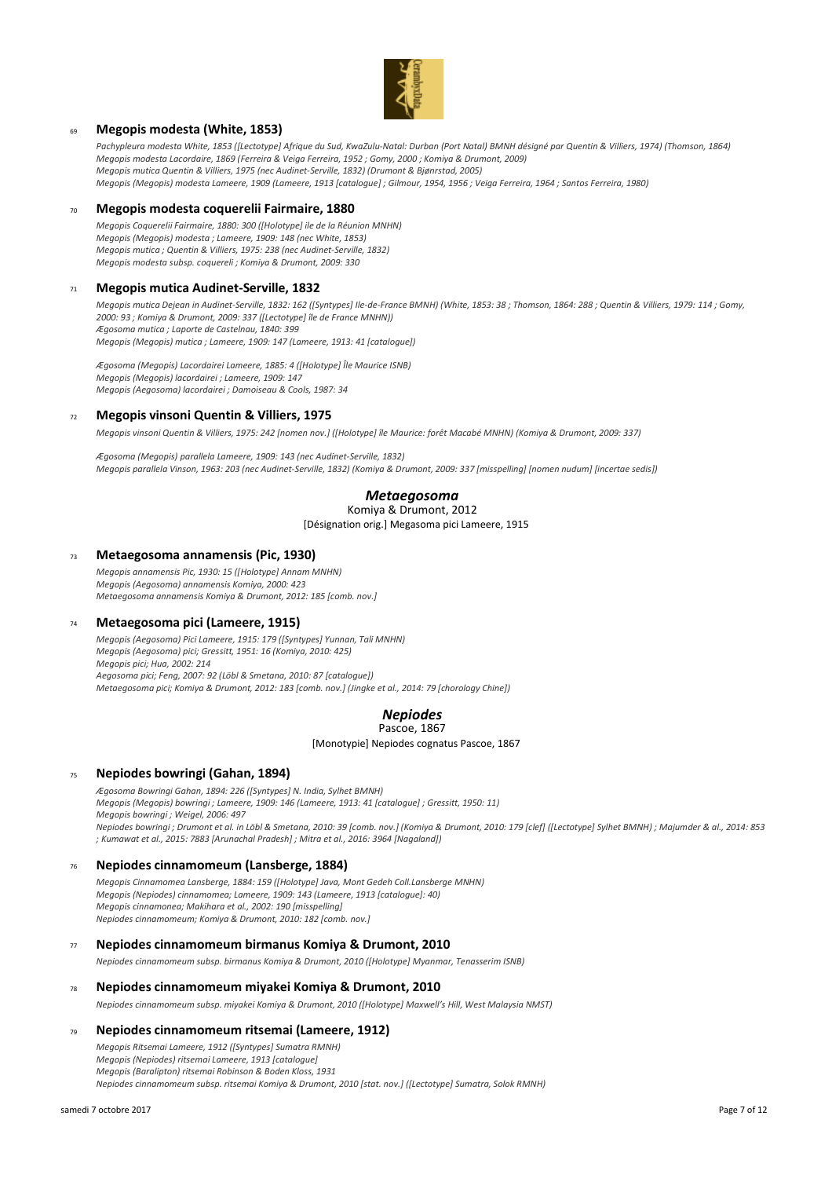

## <sup>69</sup> **Megopis modesta (White, 1853)**

*Pachypleura modesta White, 1853 ([Lectotype] Afrique du Sud, KwaZulu-Natal: Durban (Port Natal) BMNH désigné par Quentin & Villiers, 1974) (Thomson, 1864) Megopis modesta Lacordaire, 1869 (Ferreira & Veiga Ferreira, 1952 ; Gomy, 2000 ; Komiya & Drumont, 2009) Megopis mutica Quentin & Villiers, 1975 (nec Audinet-Serville, 1832) (Drumont & Bjønrstad, 2005) Megopis (Megopis) modesta Lameere, 1909 (Lameere, 1913 [catalogue] ; Gilmour, 1954, 1956 ; Veiga Ferreira, 1964 ; Santos Ferreira, 1980)*

### <sup>70</sup> **Megopis modesta coquerelii Fairmaire, 1880**

*Megopis Coquerelii Fairmaire, 1880: 300 ([Holotype] ile de la Réunion MNHN) Megopis (Megopis) modesta ; Lameere, 1909: 148 (nec White, 1853) Megopis mutica ; Quentin & Villiers, 1975: 238 (nec Audinet-Serville, 1832) Megopis modesta subsp. coquereli ; Komiya & Drumont, 2009: 330*

### <sup>71</sup> **Megopis mutica Audinet-Serville, 1832**

*Megopis mutica Dejean in Audinet-Serville, 1832: 162 ([Syntypes] Ile-de-France BMNH) (White, 1853: 38 ; Thomson, 1864: 288 ; Quentin & Villiers, 1979: 114 ; Gomy, 2000: 93 ; Komiya & Drumont, 2009: 337 ([Lectotype] île de France MNHN)) Ægosoma mutica ; Laporte de Castelnau, 1840: 399 Megopis (Megopis) mutica ; Lameere, 1909: 147 (Lameere, 1913: 41 [catalogue])*

*Ægosoma (Megopis) Lacordairei Lameere, 1885: 4 ([Holotype] Île Maurice ISNB) Megopis (Megopis) lacordairei ; Lameere, 1909: 147 Megopis (Aegosoma) lacordairei ; Damoiseau & Cools, 1987: 34*

#### <sup>72</sup> **Megopis vinsoni Quentin & Villiers, 1975**

*Megopis vinsoni Quentin & Villiers, 1975: 242 [nomen nov.] ([Holotype] île Maurice: forêt Macabé MNHN) (Komiya & Drumont, 2009: 337)*

*Ægosoma (Megopis) parallela Lameere, 1909: 143 (nec Audinet-Serville, 1832) Megopis parallela Vinson, 1963: 203 (nec Audinet-Serville, 1832) (Komiya & Drumont, 2009: 337 [misspelling] [nomen nudum] [incertae sedis])*

## *Metaegosoma*

# Komiya & Drumont, 2012

## [Désignation orig.] Megasoma pici Lameere, 1915

#### <sup>73</sup> **Metaegosoma annamensis (Pic, 1930)**

*Megopis annamensis Pic, 1930: 15 ([Holotype] Annam MNHN) Megopis (Aegosoma) annamensis Komiya, 2000: 423 Metaegosoma annamensis Komiya & Drumont, 2012: 185 [comb. nov.]*

### <sup>74</sup> **Metaegosoma pici (Lameere, 1915)**

*Megopis (Aegosoma) Pici Lameere, 1915: 179 ([Syntypes] Yunnan, Tali MNHN) Megopis (Aegosoma) pici; Gressitt, 1951: 16 (Komiya, 2010: 425) Megopis pici; Hua, 2002: 214 Aegosoma pici; Feng, 2007: 92 (Löbl & Smetana, 2010: 87 [catalogue]) Metaegosoma pici; Komiya & Drumont, 2012: 183 [comb. nov.] (Jingke et al., 2014: 79 [chorology Chine])*

#### *Nepiodes* Pascoe, 1867

[Monotypie] Nepiodes cognatus Pascoe, 1867

### <sup>75</sup> **Nepiodes bowringi (Gahan, 1894)**

*Ægosoma Bowringi Gahan, 1894: 226 ([Syntypes] N. India, Sylhet BMNH) Megopis (Megopis) bowringi ; Lameere, 1909: 146 (Lameere, 1913: 41 [catalogue] ; Gressitt, 1950: 11) Megopis bowringi ; Weigel, 2006: 497 Nepiodes bowringi ; Drumont et al. in Löbl & Smetana, 2010: 39 [comb. nov.] (Komiya & Drumont, 2010: 179 [clef] ([Lectotype] Sylhet BMNH) ; Majumder & al., 2014: 853 ; Kumawat et al., 2015: 7883 [Arunachal Pradesh] ; Mitra et al., 2016: 3964 [Nagaland])*

### <sup>76</sup> **Nepiodes cinnamomeum (Lansberge, 1884)**

*Megopis Cinnamomea Lansberge, 1884: 159 ([Holotype] Java, Mont Gedeh Coll.Lansberge MNHN) Megopis (Nepiodes) cinnamomea; Lameere, 1909: 143 (Lameere, 1913 [catalogue]: 40) Megopis cinnamonea; Makihara et al., 2002: 190 [misspelling] Nepiodes cinnamomeum; Komiya & Drumont, 2010: 182 [comb. nov.]*

#### <sup>77</sup> **Nepiodes cinnamomeum birmanus Komiya & Drumont, 2010**

*Nepiodes cinnamomeum subsp. birmanus Komiya & Drumont, 2010 ([Holotype] Myanmar, Tenasserim ISNB)*

### <sup>78</sup> **Nepiodes cinnamomeum miyakei Komiya & Drumont, 2010**

*Nepiodes cinnamomeum subsp. miyakei Komiya & Drumont, 2010 ([Holotype] Maxwell's Hill, West Malaysia NMST)*

#### <sup>79</sup> **Nepiodes cinnamomeum ritsemai (Lameere, 1912)**

*Megopis Ritsemai Lameere, 1912 ([Syntypes] Sumatra RMNH) Megopis (Nepiodes) ritsemai Lameere, 1913 [catalogue] Megopis (Baralipton) ritsemai Robinson & Boden Kloss, 1931 Nepiodes cinnamomeum subsp. ritsemai Komiya & Drumont, 2010 [stat. nov.] ([Lectotype] Sumatra, Solok RMNH)*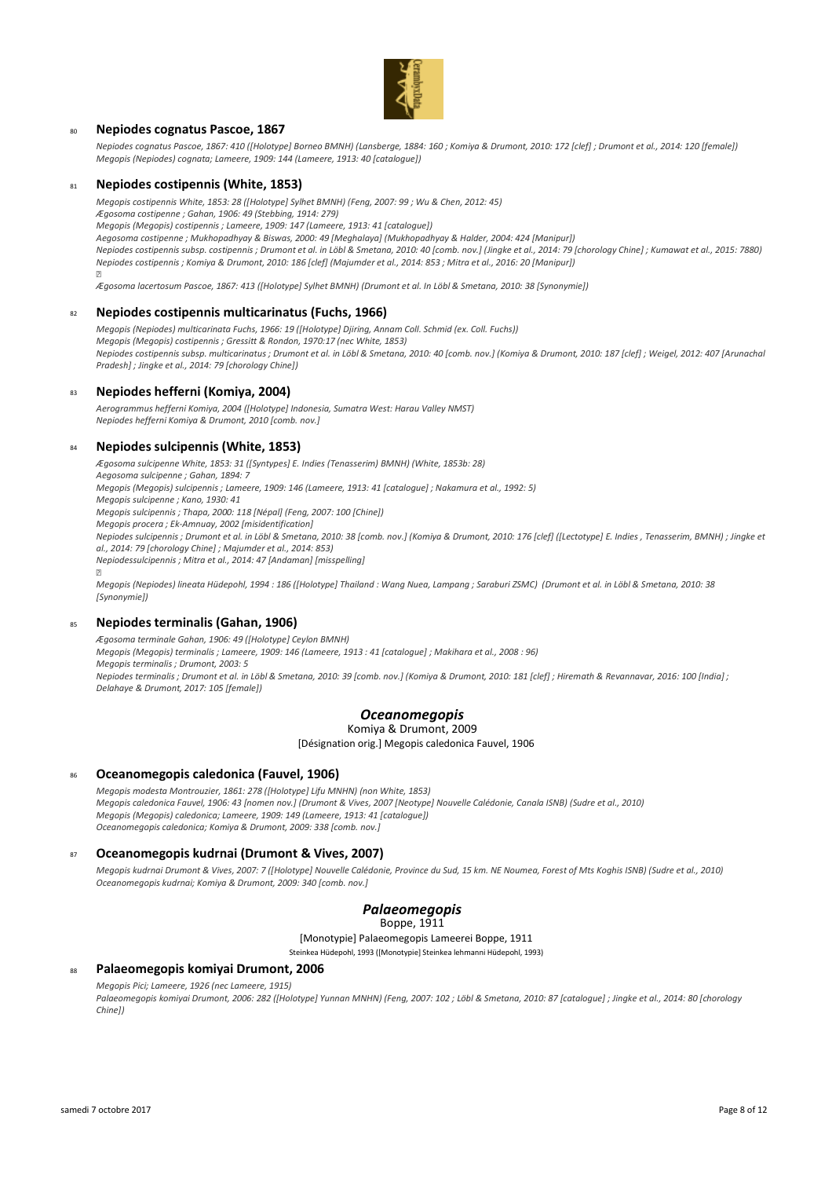

### <sup>80</sup> **Nepiodes cognatus Pascoe, 1867**

*Nepiodes cognatus Pascoe, 1867: 410 ([Holotype] Borneo BMNH) (Lansberge, 1884: 160 ; Komiya & Drumont, 2010: 172 [clef] ; Drumont et al., 2014: 120 [female]) Megopis (Nepiodes) cognata; Lameere, 1909: 144 (Lameere, 1913: 40 [catalogue])*

### <sup>81</sup> **Nepiodes costipennis (White, 1853)**

*Megopis costipennis White, 1853: 28 ([Holotype] Sylhet BMNH) (Feng, 2007: 99 ; Wu & Chen, 2012: 45) Ægosoma costipenne ; Gahan, 1906: 49 (Stebbing, 1914: 279) Megopis (Megopis) costipennis ; Lameere, 1909: 147 (Lameere, 1913: 41 [catalogue]) Aegosoma costipenne ; Mukhopadhyay & Biswas, 2000: 49 [Meghalaya] (Mukhopadhyay & Halder, 2004: 424 [Manipur]) Nepiodes costipennis subsp. costipennis ; Drumont et al. in Löbl & Smetana, 2010: 40 [comb. nov.] (Jingke et al., 2014: 79 [chorology Chine] ; Kumawat et al., 2015: 7880) Nepiodes costipennis ; Komiya & Drumont, 2010: 186 [clef] (Majumder et al., 2014: 853 ; Mitra et al., 2016: 20 [Manipur])* 

*Ægosoma lacertosum Pascoe, 1867: 413 ([Holotype] Sylhet BMNH) (Drumont et al. In Löbl & Smetana, 2010: 38 [Synonymie])*

#### <sup>82</sup> **Nepiodes costipennis multicarinatus (Fuchs, 1966)**

*Megopis (Nepiodes) multicarinata Fuchs, 1966: 19 ([Holotype] Djiring, Annam Coll. Schmid (ex. Coll. Fuchs)) Megopis (Megopis) costipennis ; Gressitt & Rondon, 1970:17 (nec White, 1853) Nepiodes costipennis subsp. multicarinatus ; Drumont et al. in Löbl & Smetana, 2010: 40 [comb. nov.] (Komiya & Drumont, 2010: 187 [clef] ; Weigel, 2012: 407 [Arunachal Pradesh] ; Jingke et al., 2014: 79 [chorology Chine])*

### <sup>83</sup> **Nepiodes hefferni (Komiya, 2004)**

*Aerogrammus hefferni Komiya, 2004 ([Holotype] Indonesia, Sumatra West: Harau Valley NMST) Nepiodes hefferni Komiya & Drumont, 2010 [comb. nov.]*

#### <sup>84</sup> **Nepiodes sulcipennis (White, 1853)**

*Ægosoma sulcipenne White, 1853: 31 ([Syntypes] E. Indies (Tenasserim) BMNH) (White, 1853b: 28) Aegosoma sulcipenne ; Gahan, 1894: 7 Megopis (Megopis) sulcipennis ; Lameere, 1909: 146 (Lameere, 1913: 41 [catalogue] ; Nakamura et al., 1992: 5) Megopis sulcipenne ; Kano, 1930: 41 Megopis sulcipennis ; Thapa, 2000: 118 [Népal] (Feng, 2007: 100 [Chine]) Megopis procera ; Ek-Amnuay, 2002 [misidentification] Nepiodes sulcipennis ; Drumont et al. in Löbl & Smetana, 2010: 38 [comb. nov.] (Komiya & Drumont, 2010: 176 [clef] ([Lectotype] E. Indies , Tenasserim, BMNH) ; Jingke et al., 2014: 79 [chorology Chine] ; Majumder et al., 2014: 853) Nepiodessulcipennis ; Mitra et al., 2014: 47 [Andaman] [misspelling]* 

*Megopis (Nepiodes) lineata Hüdepohl, 1994 : 186 ([Holotype] Thailand : Wang Nuea, Lampang ; Saraburi ZSMC) (Drumont et al. in Löbl & Smetana, 2010: 38 [Synonymie])*

### <sup>85</sup> **Nepiodes terminalis (Gahan, 1906)**

*Ægosoma terminale Gahan, 1906: 49 ([Holotype] Ceylon BMNH)*

*Megopis (Megopis) terminalis ; Lameere, 1909: 146 (Lameere, 1913 : 41 [catalogue] ; Makihara et al., 2008 : 96) Megopis terminalis ; Drumont, 2003: 5*

*Nepiodes terminalis ; Drumont et al. in Löbl & Smetana, 2010: 39 [comb. nov.] (Komiya & Drumont, 2010: 181 [clef] ; Hiremath & Revannavar, 2016: 100 [India] ; Delahaye & Drumont, 2017: 105 [female])*

### *Oceanomegopis*

Komiya & Drumont, 2009

[Désignation orig.] Megopis caledonica Fauvel, 1906

### <sup>86</sup> **Oceanomegopis caledonica (Fauvel, 1906)**

*Megopis modesta Montrouzier, 1861: 278 ([Holotype] Lifu MNHN) (non White, 1853) Megopis caledonica Fauvel, 1906: 43 [nomen nov.] (Drumont & Vives, 2007 [Neotype] Nouvelle Calédonie, Canala ISNB) (Sudre et al., 2010) Megopis (Megopis) caledonica; Lameere, 1909: 149 (Lameere, 1913: 41 [catalogue]) Oceanomegopis caledonica; Komiya & Drumont, 2009: 338 [comb. nov.]*

### <sup>87</sup> **Oceanomegopis kudrnai (Drumont & Vives, 2007)**

*Megopis kudrnai Drumont & Vives, 2007: 7 ([Holotype] Nouvelle Calédonie, Province du Sud, 15 km. NE Noumea, Forest of Mts Koghis ISNB) (Sudre et al., 2010) Oceanomegopis kudrnai; Komiya & Drumont, 2009: 340 [comb. nov.]*

## *Palaeomegopis*

Boppe, 1911

[Monotypie] Palaeomegopis Lameerei Boppe, 1911

Steinkea Hüdepohl, 1993 ([Monotypie] Steinkea lehmanni Hüdepohl, 1993)

### <sup>88</sup> **Palaeomegopis komiyai Drumont, 2006**

*Megopis Pici; Lameere, 1926 (nec Lameere, 1915)*

*Palaeomegopis komiyai Drumont, 2006: 282 ([Holotype] Yunnan MNHN) (Feng, 2007: 102 ; Löbl & Smetana, 2010: 87 [catalogue] ; Jingke et al., 2014: 80 [chorology Chine])*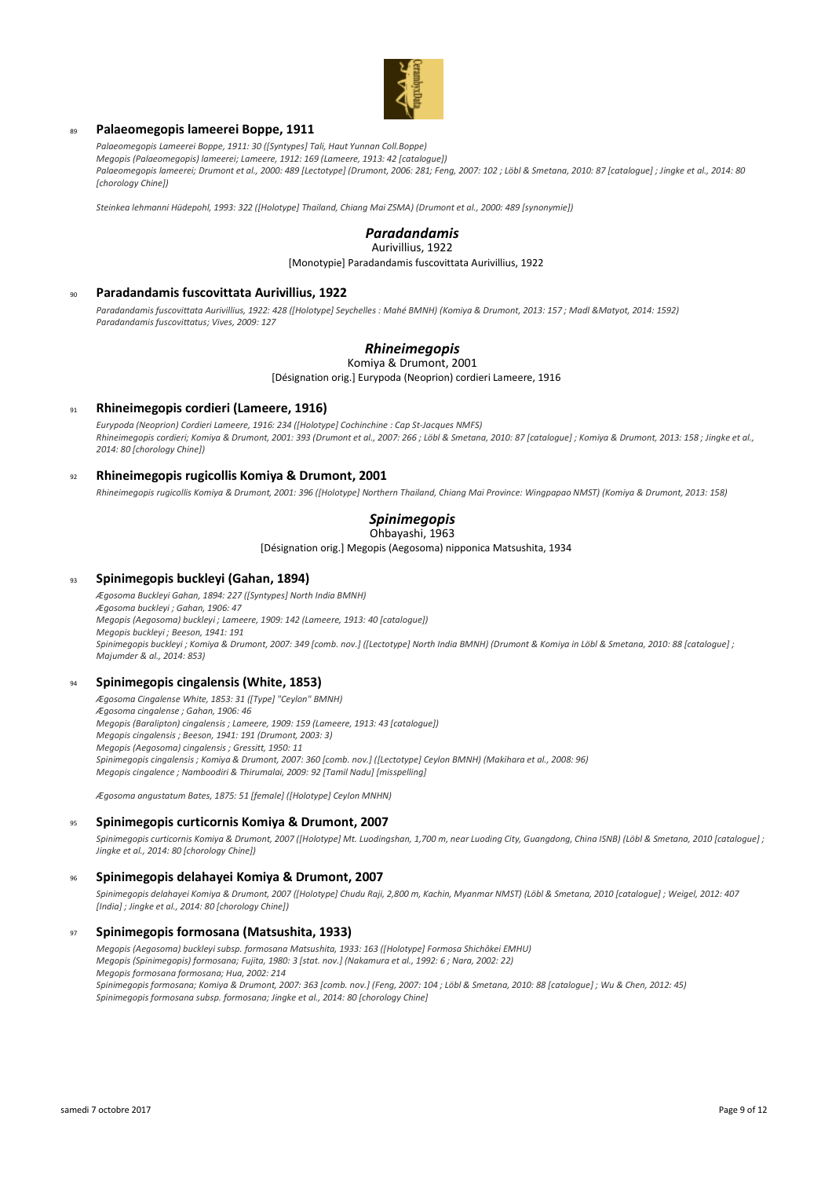

### <sup>89</sup> **Palaeomegopis lameerei Boppe, 1911**

*Palaeomegopis Lameerei Boppe, 1911: 30 ([Syntypes] Tali, Haut Yunnan Coll.Boppe) Megopis (Palaeomegopis) lameerei; Lameere, 1912: 169 (Lameere, 1913: 42 [catalogue]) Palaeomegopis lameerei; Drumont et al., 2000: 489 [Lectotype] (Drumont, 2006: 281; Feng, 2007: 102 ; Löbl & Smetana, 2010: 87 [catalogue] ; Jingke et al., 2014: 80 [chorology Chine])*

*Steinkea lehmanni Hüdepohl, 1993: 322 ([Holotype] Thailand, Chiang Mai ZSMA) (Drumont et al., 2000: 489 [synonymie])*

## *Paradandamis*

[Monotypie] Paradandamis fuscovittata Aurivillius, 1922 Aurivillius, 1922

#### <sup>90</sup> **Paradandamis fuscovittata Aurivillius, 1922**

*Paradandamis fuscovittata Aurivillius, 1922: 428 ([Holotype] Seychelles : Mahé BMNH) (Komiya & Drumont, 2013: 157 ; Madl &Matyot, 2014: 1592) Paradandamis fuscovittatus; Vives, 2009: 127*

## *Rhineimegopis*

Komiya & Drumont, 2001

[Désignation orig.] Eurypoda (Neoprion) cordieri Lameere, 1916

### <sup>91</sup> **Rhineimegopis cordieri (Lameere, 1916)**

*Eurypoda (Neoprion) Cordieri Lameere, 1916: 234 ([Holotype] Cochinchine : Cap St-Jacques NMFS) Rhineimegopis cordieri; Komiya & Drumont, 2001: 393 (Drumont et al., 2007: 266 ; Löbl & Smetana, 2010: 87 [catalogue] ; Komiya & Drumont, 2013: 158 ; Jingke et al., 2014: 80 [chorology Chine])*

### <sup>92</sup> **Rhineimegopis rugicollis Komiya & Drumont, 2001**

*Rhineimegopis rugicollis Komiya & Drumont, 2001: 396 ([Holotype] Northern Thailand, Chiang Mai Province: Wingpapao NMST) (Komiya & Drumont, 2013: 158)*

#### *Spinimegopis* Ohbayashi, 1963

[Désignation orig.] Megopis (Aegosoma) nipponica Matsushita, 1934

### <sup>93</sup> **Spinimegopis buckleyi (Gahan, 1894)**

*Ægosoma Buckleyi Gahan, 1894: 227 ([Syntypes] North India BMNH) Ægosoma buckleyi ; Gahan, 1906: 47 Megopis (Aegosoma) buckleyi ; Lameere, 1909: 142 (Lameere, 1913: 40 [catalogue]) Megopis buckleyi ; Beeson, 1941: 191 Spinimegopis buckleyi ; Komiya & Drumont, 2007: 349 [comb. nov.] ([Lectotype] North India BMNH) (Drumont & Komiya in Löbl & Smetana, 2010: 88 [catalogue] ; Majumder & al., 2014: 853)*

#### <sup>94</sup> **Spinimegopis cingalensis (White, 1853)**

*Ægosoma Cingalense White, 1853: 31 ([Type] "Ceylon" BMNH) Ægosoma cingalense ; Gahan, 1906: 46 Megopis (Baralipton) cingalensis ; Lameere, 1909: 159 (Lameere, 1913: 43 [catalogue]) Megopis cingalensis ; Beeson, 1941: 191 (Drumont, 2003: 3) Megopis (Aegosoma) cingalensis ; Gressitt, 1950: 11 Spinimegopis cingalensis ; Komiya & Drumont, 2007: 360 [comb. nov.] ([Lectotype] Ceylon BMNH) (Makihara et al., 2008: 96) Megopis cingalence ; Namboodiri & Thirumalai, 2009: 92 [Tamil Nadu] [misspelling]*

*Ægosoma angustatum Bates, 1875: 51 [female] ([Holotype] Ceylon MNHN)*

### <sup>95</sup> **Spinimegopis curticornis Komiya & Drumont, 2007**

*Spinimegopis curticornis Komiya & Drumont, 2007 ([Holotype] Mt. Luodingshan, 1,700 m, near Luoding City, Guangdong, China ISNB) (Löbl & Smetana, 2010 [catalogue] ; Jingke et al., 2014: 80 [chorology Chine])*

#### <sup>96</sup> **Spinimegopis delahayei Komiya & Drumont, 2007**

*Spinimegopis delahayei Komiya & Drumont, 2007 ([Holotype] Chudu Raji, 2,800 m, Kachin, Myanmar NMST) (Löbl & Smetana, 2010 [catalogue] ; Weigel, 2012: 407 [India] ; Jingke et al., 2014: 80 [chorology Chine])*

#### <sup>97</sup> **Spinimegopis formosana (Matsushita, 1933)**

*Megopis (Aegosoma) buckleyi subsp. formosana Matsushita, 1933: 163 ([Holotype] Formosa Shichôkei EMHU) Megopis (Spinimegopis) formosana; Fujita, 1980: 3 [stat. nov.] (Nakamura et al., 1992: 6 ; Nara, 2002: 22) Megopis formosana formosana; Hua, 2002: 214 Spinimegopis formosana; Komiya & Drumont, 2007: 363 [comb. nov.] (Feng, 2007: 104 ; Löbl & Smetana, 2010: 88 [catalogue] ; Wu & Chen, 2012: 45) Spinimegopis formosana subsp. formosana; Jingke et al., 2014: 80 [chorology Chine]*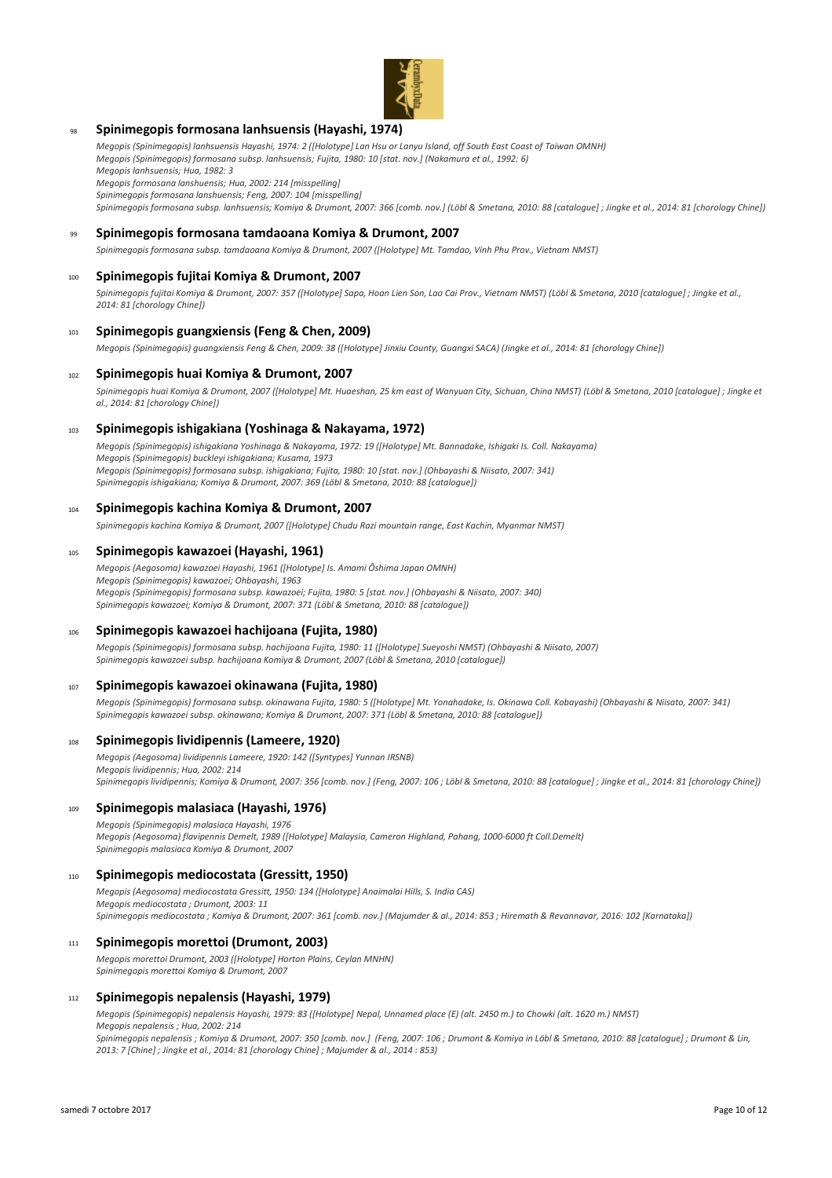

### <sup>98</sup> **Spinimegopis formosana lanhsuensis (Hayashi, 1974)**

*Megopis (Spinimegopis) lanhsuensis Hayashi, 1974: 2 ([Holotype] Lan Hsu or Lanyu Island, off South East Coast of Taiwan OMNH) Megopis (Spinimegopis) formosana subsp. lanhsuensis; Fujita, 1980: 10 [stat. nov.] (Nakamura et al., 1992: 6) Megopis lanhsuensis; Hua, 1982: 3*

*Megopis formosana lanshuensis; Hua, 2002: 214 [misspelling]*

*Spinimegopis formosana lanshuensis; Feng, 2007: 104 [misspelling]*

*Spinimegopis formosana subsp. lanhsuensis; Komiya & Drumont, 2007: 366 [comb. nov.] (Löbl & Smetana, 2010: 88 [catalogue] ; Jingke et al., 2014: 81 [chorology Chine])*

### <sup>99</sup> **Spinimegopis formosana tamdaoana Komiya & Drumont, 2007**

*Spinimegopis formosana subsp. tamdaoana Komiya & Drumont, 2007 ([Holotype] Mt. Tamdao, Vinh Phu Prov., Vietnam NMST)*

### <sup>100</sup> **Spinimegopis fujitai Komiya & Drumont, 2007**

*Spinimegopis fujitai Komiya & Drumont, 2007: 357 ([Holotype] Sapa, Hoan Lien Son, Lao Cai Prov., Vietnam NMST) (Löbl & Smetana, 2010 [catalogue] ; Jingke et al., 2014: 81 [chorology Chine])*

## <sup>101</sup> **Spinimegopis guangxiensis (Feng & Chen, 2009)**

*Megopis (Spinimegopis) guangxiensis Feng & Chen, 2009: 38 ([Holotype] Jinxiu County, Guangxi SACA) (Jingke et al., 2014: 81 [chorology Chine])*

### <sup>102</sup> **Spinimegopis huai Komiya & Drumont, 2007**

*Spinimegopis huai Komiya & Drumont, 2007 ([Holotype] Mt. Huaeshan, 25 km east of Wanyuan City, Sichuan, China NMST) (Löbl & Smetana, 2010 [catalogue] ; Jingke et al., 2014: 81 [chorology Chine])*

### <sup>103</sup> **Spinimegopis ishigakiana (Yoshinaga & Nakayama, 1972)**

*Megopis (Spinimegopis) ishigakiana Yoshinaga & Nakayama, 1972: 19 ([Holotype] Mt. Bannadake, Ishigaki Is. Coll. Nakayama) Megopis (Spinimegopis) buckleyi ishigakiana; Kusama, 1973 Megopis (Spinimegopis) formosana subsp. ishigakiana; Fujita, 1980: 10 [stat. nov.] (Ohbayashi & Niisato, 2007: 341) Spinimegopis ishigakiana; Komiya & Drumont, 2007: 369 (Löbl & Smetana, 2010: 88 [catalogue])*

#### <sup>104</sup> **Spinimegopis kachina Komiya & Drumont, 2007**

*Spinimegopis kachina Komiya & Drumont, 2007 ([Holotype] Chudu Razi mountain range, East Kachin, Myanmar NMST)*

#### <sup>105</sup> **Spinimegopis kawazoei (Hayashi, 1961)**

*Megopis (Aegosoma) kawazoei Hayashi, 1961 ([Holotype] Is. Amami Ôshima Japan OMNH) Megopis (Spinimegopis) kawazoei; Ohbayashi, 1963 Megopis (Spinimegopis) formosana subsp. kawazoei; Fujita, 1980: 5 [stat. nov.] (Ohbayashi & Niisato, 2007: 340) Spinimegopis kawazoei; Komiya & Drumont, 2007: 371 (Löbl & Smetana, 2010: 88 [catalogue])*

### <sup>106</sup> **Spinimegopis kawazoei hachijoana (Fujita, 1980)**

*Megopis (Spinimegopis) formosana subsp. hachijoana Fujita, 1980: 11 ([Holotype] Sueyoshi NMST) (Ohbayashi & Niisato, 2007) Spinimegopis kawazoei subsp. hachijoana Komiya & Drumont, 2007 (Löbl & Smetana, 2010 [catalogue])*

#### <sup>107</sup> **Spinimegopis kawazoei okinawana (Fujita, 1980)**

*Megopis (Spinimegopis) formosana subsp. okinawana Fujita, 1980: 5 ([Holotype] Mt. Yonahadake, Is. Okinawa Coll. Kobayashi) (Ohbayashi & Niisato, 2007: 341) Spinimegopis kawazoei subsp. okinawana; Komiya & Drumont, 2007: 371 (Löbl & Smetana, 2010: 88 [catalogue])*

### <sup>108</sup> **Spinimegopis lividipennis (Lameere, 1920)**

*Megopis (Aegosoma) lividipennis Lameere, 1920: 142 ([Syntypes] Yunnan IRSNB) Megopis lividipennis; Hua, 2002: 214 Spinimegopis lividipennis; Komiya & Drumont, 2007: 356 [comb. nov.] (Feng, 2007: 106 ; Löbl & Smetana, 2010: 88 [catalogue] ; Jingke et al., 2014: 81 [chorology Chine])*

### <sup>109</sup> **Spinimegopis malasiaca (Hayashi, 1976)**

*Megopis (Spinimegopis) malasiaca Hayashi, 1976 Megopis (Aegosoma) flavipennis Demelt, 1989 ([Holotype] Malaysia, Cameron Highland, Pahang, 1000-6000 ft Coll.Demelt) Spinimegopis malasiaca Komiya & Drumont, 2007*

#### <sup>110</sup> **Spinimegopis mediocostata (Gressitt, 1950)**

*Megopis (Aegosoma) mediocostata Gressitt, 1950: 134 ([Holotype] Anaimalai Hills, S. India CAS) Megopis mediocostata ; Drumont, 2003: 11 Spinimegopis mediocostata ; Komiya & Drumont, 2007: 361 [comb. nov.] (Majumder & al., 2014: 853 ; Hiremath & Revannavar, 2016: 102 [Karnataka])*

### <sup>111</sup> **Spinimegopis morettoi (Drumont, 2003)**

*Megopis morettoi Drumont, 2003 ([Holotype] Horton Plains, Ceylan MNHN) Spinimegopis morettoi Komiya & Drumont, 2007*

#### <sup>112</sup> **Spinimegopis nepalensis (Hayashi, 1979)**

*Megopis (Spinimegopis) nepalensis Hayashi, 1979: 83 ([Holotype] Nepal, Unnamed place (E) (alt. 2450 m.) to Chowki (alt. 1620 m.) NMST) Megopis nepalensis ; Hua, 2002: 214*

*Spinimegopis nepalensis ; Komiya & Drumont, 2007: 350 [comb. nov.] (Feng, 2007: 106 ; Drumont & Komiya in Löbl & Smetana, 2010: 88 [catalogue] ; Drumont & Lin, 2013: 7 [Chine] ; Jingke et al., 2014: 81 [chorology Chine] ; Majumder & al., 2014 : 853)*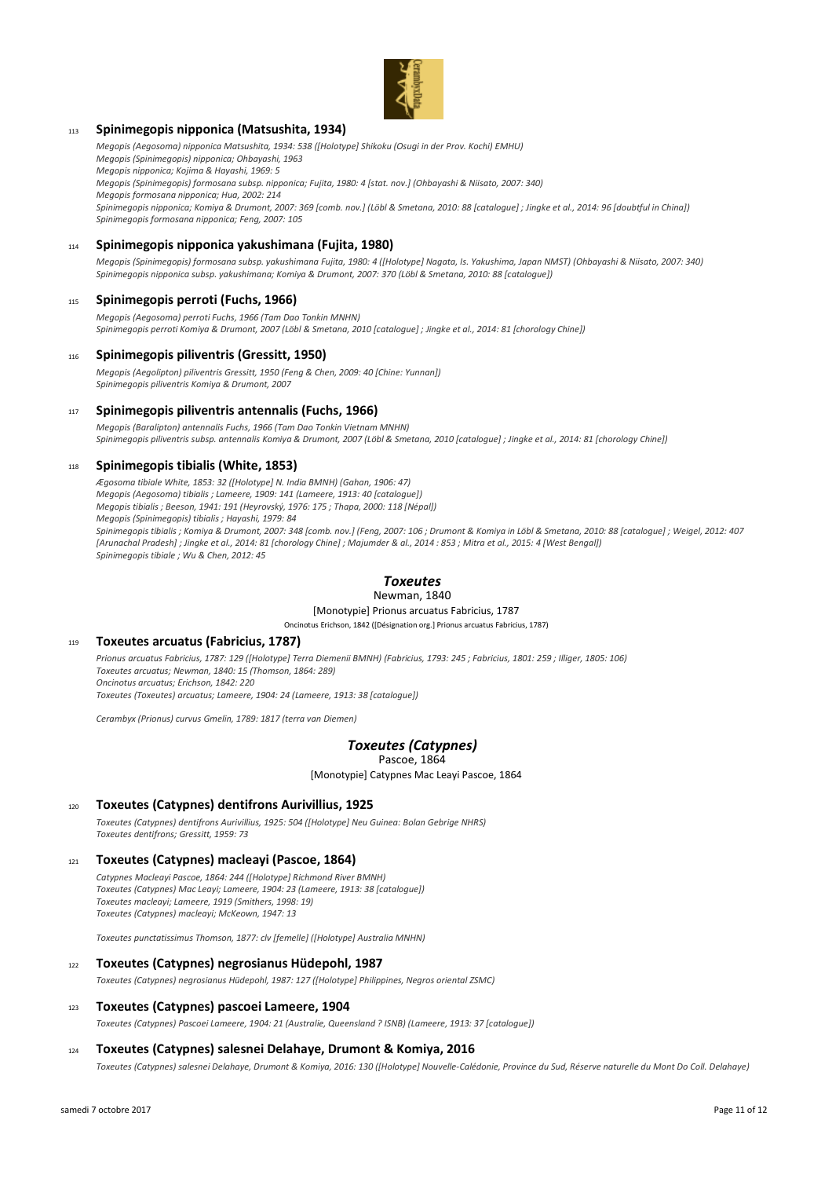

### <sup>113</sup> **Spinimegopis nipponica (Matsushita, 1934)**

*Megopis (Aegosoma) nipponica Matsushita, 1934: 538 ([Holotype] Shikoku (Osugi in der Prov. Kochi) EMHU) Megopis (Spinimegopis) nipponica; Ohbayashi, 1963*

*Megopis nipponica; Kojima & Hayashi, 1969: 5*

*Megopis (Spinimegopis) formosana subsp. nipponica; Fujita, 1980: 4 [stat. nov.] (Ohbayashi & Niisato, 2007: 340)*

*Megopis formosana nipponica; Hua, 2002: 214*

*Spinimegopis nipponica; Komiya & Drumont, 2007: 369 [comb. nov.] (Löbl & Smetana, 2010: 88 [catalogue] ; Jingke et al., 2014: 96 [doubtful in China]) Spinimegopis formosana nipponica; Feng, 2007: 105*

### <sup>114</sup> **Spinimegopis nipponica yakushimana (Fujita, 1980)**

*Megopis (Spinimegopis) formosana subsp. yakushimana Fujita, 1980: 4 ([Holotype] Nagata, Is. Yakushima, Japan NMST) (Ohbayashi & Niisato, 2007: 340) Spinimegopis nipponica subsp. yakushimana; Komiya & Drumont, 2007: 370 (Löbl & Smetana, 2010: 88 [catalogue])*

### <sup>115</sup> **Spinimegopis perroti (Fuchs, 1966)**

*Megopis (Aegosoma) perroti Fuchs, 1966 (Tam Dao Tonkin MNHN) Spinimegopis perroti Komiya & Drumont, 2007 (Löbl & Smetana, 2010 [catalogue] ; Jingke et al., 2014: 81 [chorology Chine])*

### <sup>116</sup> **Spinimegopis piliventris (Gressitt, 1950)**

*Megopis (Aegolipton) piliventris Gressitt, 1950 (Feng & Chen, 2009: 40 [Chine: Yunnan]) Spinimegopis piliventris Komiya & Drumont, 2007*

### <sup>117</sup> **Spinimegopis piliventris antennalis (Fuchs, 1966)**

*Megopis (Baralipton) antennalis Fuchs, 1966 (Tam Dao Tonkin Vietnam MNHN) Spinimegopis piliventris subsp. antennalis Komiya & Drumont, 2007 (Löbl & Smetana, 2010 [catalogue] ; Jingke et al., 2014: 81 [chorology Chine])*

### <sup>118</sup> **Spinimegopis tibialis (White, 1853)**

*Ægosoma tibiale White, 1853: 32 ([Holotype] N. India BMNH) (Gahan, 1906: 47) Megopis (Aegosoma) tibialis ; Lameere, 1909: 141 (Lameere, 1913: 40 [catalogue]) Megopis tibialis ; Beeson, 1941: 191 (Heyrovský, 1976: 175 ; Thapa, 2000: 118 [Népal]) Megopis (Spinimegopis) tibialis ; Hayashi, 1979: 84 Spinimegopis tibialis ; Komiya & Drumont, 2007: 348 [comb. nov.] (Feng, 2007: 106 ; Drumont & Komiya in Löbl & Smetana, 2010: 88 [catalogue] ; Weigel, 2012: 407 [Arunachal Pradesh] ; Jingke et al., 2014: 81 [chorology Chine] ; Majumder & al., 2014 : 853 ; Mitra et al., 2015: 4 [West Bengal]) Spinimegopis tibiale ; Wu & Chen, 2012: 45*

## *Toxeutes*

#### Newman, 1840

[Monotypie] Prionus arcuatus Fabricius, 1787 Oncinotus Erichson, 1842 ([Désignation org.] Prionus arcuatus Fabricius, 1787)

### <sup>119</sup> **Toxeutes arcuatus (Fabricius, 1787)**

*Prionus arcuatus Fabricius, 1787: 129 ([Holotype] Terra Diemenii BMNH) (Fabricius, 1793: 245 ; Fabricius, 1801: 259 ; Illiger, 1805: 106) Toxeutes arcuatus; Newman, 1840: 15 (Thomson, 1864: 289) Oncinotus arcuatus; Erichson, 1842: 220 Toxeutes (Toxeutes) arcuatus; Lameere, 1904: 24 (Lameere, 1913: 38 [catalogue])*

*Cerambyx (Prionus) curvus Gmelin, 1789: 1817 (terra van Diemen)*

#### *Toxeutes (Catypnes)* Pascoe, 1864

[Monotypie] Catypnes Mac Leayi Pascoe, 1864

### <sup>120</sup> **Toxeutes (Catypnes) dentifrons Aurivillius, 1925**

*Toxeutes (Catypnes) dentifrons Aurivillius, 1925: 504 ([Holotype] Neu Guinea: Bolan Gebrige NHRS) Toxeutes dentifrons; Gressitt, 1959: 73*

### <sup>121</sup> **Toxeutes (Catypnes) macleayi (Pascoe, 1864)**

*Catypnes Macleayi Pascoe, 1864: 244 ([Holotype] Richmond River BMNH) Toxeutes (Catypnes) Mac Leayi; Lameere, 1904: 23 (Lameere, 1913: 38 [catalogue]) Toxeutes macleayi; Lameere, 1919 (Smithers, 1998: 19) Toxeutes (Catypnes) macleayi; McKeown, 1947: 13*

*Toxeutes punctatissimus Thomson, 1877: clv [femelle] ([Holotype] Australia MNHN)*

### <sup>122</sup> **Toxeutes (Catypnes) negrosianus Hüdepohl, 1987**

*Toxeutes (Catypnes) negrosianus Hüdepohl, 1987: 127 ([Holotype] Philippines, Negros oriental ZSMC)*

### <sup>123</sup> **Toxeutes (Catypnes) pascoei Lameere, 1904**

*Toxeutes (Catypnes) Pascoei Lameere, 1904: 21 (Australie, Queensland ? ISNB) (Lameere, 1913: 37 [catalogue])*

### <sup>124</sup> **Toxeutes (Catypnes) salesnei Delahaye, Drumont & Komiya, 2016**

*Toxeutes (Catypnes) salesnei Delahaye, Drumont & Komiya, 2016: 130 ([Holotype] Nouvelle-Calédonie, Province du Sud, Réserve naturelle du Mont Do Coll. Delahaye)*